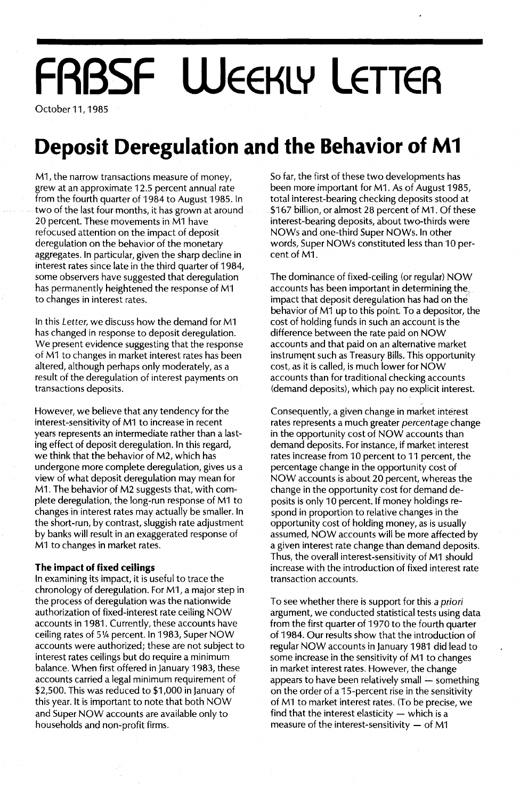# **FRBSF WEEKLY LETTER**

October 11, 1985

### **Deposit Deregulation and the Behavior of M1**

M1, the narrow transactions measure of money, grew at an approximate 12.5 percent annual rate from the fourth quarter of 1984 to August 1985. In two of the last four months, it has grown at around 20 percent. These movements in M1 have refocused attention on the impact of deposit deregulation on the behavior of the monetary aggregates. In particular, given the sharp decline in interest rates since late in the third quarter of 1984, some observers have suggested that deregulation has permanently heightened the response of M1 to changes in interest rates.

In this Letter, we discuss how the demand for M1 has changed in response to deposit deregulation. We present evidence suggesting that the response of M1 to changes in market interest rates has been altered, although perhaps only moderately, as a result of the deregulation of interest payments on transactions deposits.

However, we believe that any tendency for the interest-sensitivity of M1 to increase in recent years represents an intermediate rather than a lasting effect of deposit deregulation. In this regard, we think that the behavior of M2, which has undergone more complete deregulation, gives us a view of what deposit deregulation may mean for M1. The behavior of M2 suggests that, with complete deregulation, the long-run response of M1 to changes in interest rates may actually be smaller. In the short-run, by contrast, sluggish rate adjustment by banks will result in an exaggerated response of M1 to changes in market rates.

#### **The impact of fixed ceilings**

In examining its impact, it is useful to trace the chronology of deregulation. For M1, a major step in the process of deregulation was the nationwide authorization of fixed-interest rate ceiling NOW accounts in 1981. Currently, these accounts have ceiling rates of 51/4 percent. In 1983, Super NOW accounts were authorized; these are not subject to interest rates ceilings but do require a minimum balance. When first offered in January 1983, these accounts carried a legal minimum requirement of \$2,500. This was reduced to \$1,000 in January of this year. It is important to note that both NOW and Super NOW accounts are available only to households and non-profit firms.

So far, the first of these two developments has been more important for M1. As of August 1985, total interest-bearing checking deposits stood at \$167 billion, or almost 28 percent of M1. Of these interest-bearing deposits, about two-thirds were NOWs and one-third Super NOWs. In other words, Super NOWs constituted less than 10 percent of M1.

The dominance of fixed-ceiling (or regular) NOW accounts has been important in determining the impact that deposit deregulation has had on the behavior of M1 up to this point. To a depositor, the cost of holding funds in such an account is the difference between the rate paid on NOW accounts and that paid on an alternative market instrument such as Treasury Bills. This opportunity cost, as it is called, is much lower for NOW accounts than for traditional checking accounts (demand deposits), which pay no explicit interest.

Consequently, a given change in market interest rates represents a much greater percentage change in the opportunity cost of NOW accounts than demand deposits. For instance, if market interest rates increase from 10 percent to 11 percent, the percentage change in the opportunity cost of NOW accounts is about 20 percent, whereas tbe change in the opportunity cost for demand deposits is only 10 percent. If money holdings respond in proportion to relative changes in the opportunity cost of holding money, as is usually assumed, NOW accounts will be more affected by a given interest rate change than demand deposits. Thus, the overall interest-sensitivity of M1 should increase with the introduction of fixed interest rate transaction accounts.

To see whether there is support for this a priori argument, we conducted statistical tests using data from the first quarter of 1970 to the fourth quarter of 1984. Our results show that the introduction of regular NOW accounts in January 1981 did lead to some increase in the sensitivity of M1 to changes in market interest rates. However, the change appears to have been relatively small - something on the order of a 15-percent rise in the sensitivity of M1 to market interest rates. (To be precise, we find that the interest elasticity  $-$  which is a measure of the interest-sensitivity  $-$  of M1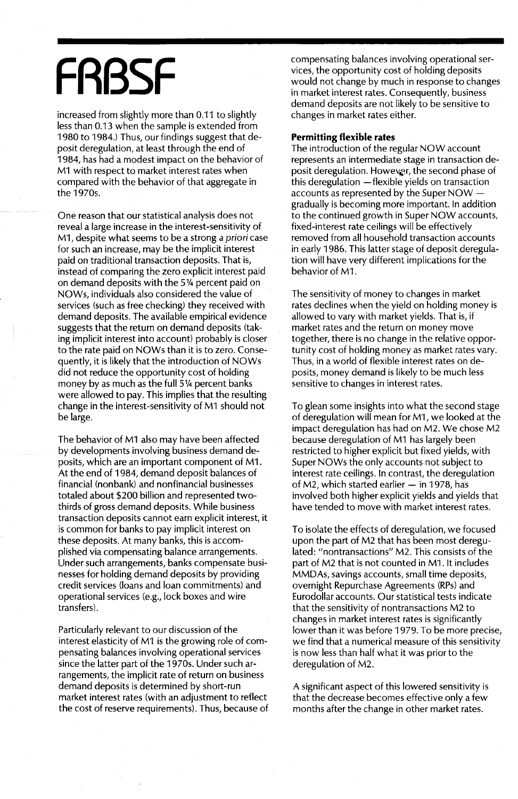## **FRBSF**

increased from slightly more than 0.11 to slightly less than 0.13 when the sample is extended from 1980 to 1984.) Thus, our findings suggest that deposit deregulation, at least through the end of 1984, has had a modest impact on the behavior of M1 with respect to market interest rates when compared with the behavior of that aggregate in the 1970s.

One reason that our statistical analysis does not reveal a large increase in the interest-sensitivity of M1, despite what seems to be a strong a priori case for such an increase, may be the implicit interest paid on traditional transaction deposits. That is, instead of comparing the zero explicit interest paid on demand deposits with the 514 percent paid on NOWs, individuals also considered the value of services (such as free checking) they received with demand deposits. The available empirical evidence suggests that the return on demand deposits (taking implicit interest into account) probably is closer to the rate paid on NOWs than it is to zero. Consequently, it is likely that the introduction of NOWs did not reduce the opportunity cost of holding money by as much as the full 5<sup>1</sup>/4 percent banks were allowed to pay. This implies that the resulting change in the interest-sensitivity of M1 should not be large.

The behavior of M1 also may have been affected by developments involving business demand deposits, which are an important component of M1. At the end of 1984, demand deposit balances of financial (nonbank) and nonfinancial businesses totaled about \$200 billion and represented twothirds of gross demand deposits. While business transaction deposits cannot earn explicit interest, it is common for banks to pay implicit interest on these deposits. At many banks, this is accomplished via compensating balance arrangements. Under such arrangements, banks compensate businesses for holding demand deposits by providing credit services (loans and loan commitments) and operational services (e.g., lock boxes and wire transfers).

Particularly relevant to our discussion of the interest elasticity of M1 is the growing role of compensating balances involving operational services since the latter part of the 1970s. Under such arrangements, the implicit rate of return on business demand deposits is determined by short-run market interest rates (with an adjustment to reflect the cost of reserve requirements). Thus, because of compensating balances involving operational services, the opportunity cost of holding deposits would not change by much in response to changes in market interest rates. Consequently, business demand deposits are not likely to be sensitive to changes in market rates either.

#### **Permitting flexible rates**

The introduction of the regular NOW account represents an intermediate stage in transaction deposit deregulation. However, the second phase of this deregulation  $-$  flexible yields on transaction accounts as represented by the Super NOW gradually is becoming more important. In addition to the continued growth in Super NOW accounts, fixed-interest rate ceilings will be effectively removed from all household transaction accounts in early 1986. This latter stage of deposit deregulation will have very different implications for the behavior of M1.

The sensitivity of money to changes in market rates declines when the yield on holding money is allowed to vary with market yields. That is, if market rates and the return on money move together, there is no change in the relative opportunity cost of holding money as market rates vary. Thus, in a world of flexible interest rates on deposits, money demand is likely to be much less sensitive to changes in interest rates.

To glean some insights into what the second stage of deregulation will mean for M1 , we looked at the impact deregulation has had on M2. We chose M2 because deregulation of M1 has largely been restricted to higher explicit but fixed yields, with Super NOWs the only accounts not subject to interest rate ceilings. In contrast, the deregulation of M2, which started earlier - in 1978, has involved both higher explicit yields and yields that have tended to move with market interest rates.

To isolate the effects of deregulation, we focused upon the part of M2 that has been most deregulated: "nontransactions" M2. This consists of the part of M2 that is not counted in M1. It includes MMDAs, savings accounts, small time deposits, overnight Repurchase Agreements (RPs) and Eurodollar accounts. Our statistical tests indicate that the sensitivity of nontransactions M2 to changes in market interest rates is significantly lower than it was before 1979. To be more precise, we find that a numerical measure of this sensitivity is now less than half what it was prior to the deregulation of M2.

A significant aspect of this lowered sensitivity is that the decrease becomes effective only a few months after the change in other market rates.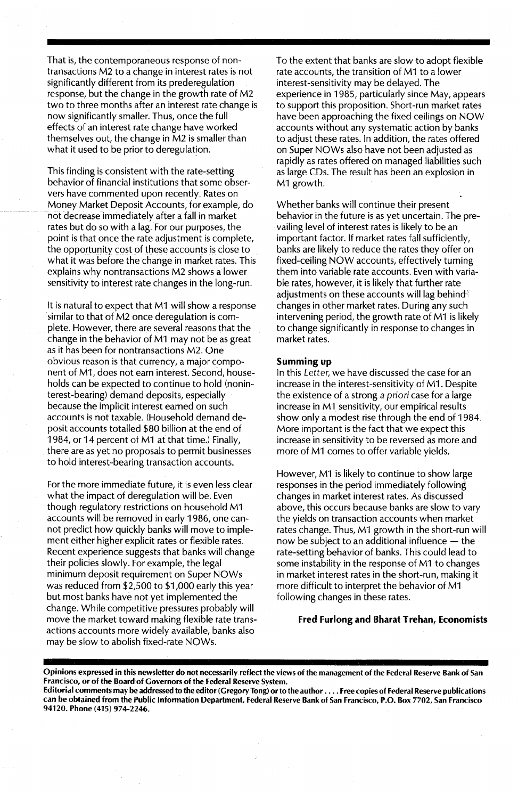That is, the contemporaneous response of nontransactions M2 to a change in interest rates is not significantly different from its prederegulation response, but the change in the growth rate of M2 two to three months after an interest rate change is now significantly smaller. Thus, once the full effects of an interest rate change have worked themselves out, the change in M2 is smaller than what it used to be prior to deregulation.

This finding is consistent with the rate-setting behavior of financial institutions that some observers have commented upon recently. Rates on Money Market Deposit Accounts, for example, do not decrease immediately after a fall in market rates but do so with a lag.For our purposes, the point is that once the rate adjustment is complete, the opportunity cost of these accounts is close to what it was before the change in market rates. This explains why nontransactions M2 shows a lower sensitivity to interest rate changes in the long-run.

It is natural to expect that M1 will show a response similar to that of M2 once deregulation is complete. However, there are several reasons that the change in the behavior of M1 may not be as great as it has been for nontransactions M2. One obvious reason is that currency, a major component of M1, does not earn interest. Second, households can be expected to continue to hold (noninterest-bearing) demand deposits, especially because the implicit interest earned on such accounts is not taxable. (Household demand deposit accounts totalled \$80 billion at the end of 1984, or 14 percent of M1 at that time.) Finally, there are as yet no proposals to permit businesses to hold interest-bearing transaction accounts.

For the more immediate future, it is even less clear what the impact of deregulation will be. Even though regulatory restrictions on household M1 accounts will be removed in early 1986, one cannot predict how quickly banks will move to implement either higher explicit rates or flexible rates. Recent experience suggests that banks will change their policies slowly. For example, the legal minimum deposit requirement on Super NOWs was reduced from \$2,500 to \$1,000 early this year but most banks have not yet implemented the change. While competitive pressures probably will move the market toward making flexible rate transactions accounts more widely available, banks also may be slow to abolish fixed-rate NOWs.

To the extent that banks are slow to adopt flexible rate accounts, the transition of M1 to a lower interest-sensitivity may be delayed. The experience in 1985, particularly since May, appears to support this proposition. Short-run market rates have been approaching the fixed ceilings on NOW accounts without any systematic action by banks to adjust these rates. In addition, the rates offered on Super NOWs also have not been adjusted as rapidly as rates offered on managed liabilities such as large CDs. The result has been an explosion in M1 growth.

Whether banks will continue their present behavior in the future is as yet uncertain. The prevailing level of interest rates is likely to be an important factor. If market rates fall sufficiently, banks are likely to reduce the rates they offer on fixed-ceiling NOW accounts, effectively turning them into variable rate accounts. Even with variable rates, however, it is likely that further rate adjustments on these accounts will lag behind<sup>®</sup> changes in other market rates. During any such intervening period, the growth rate of M1 is likely to change significantly in response to changes in market rates.

#### Summing up

In this Letter, we have discussed the case for an increase in the interest-sensitivity of M1. Despite the existence of a strong a priori case for a large increase in M1 sensitivity, our empirical results show only a modest rise through the end of 1984. More important is the fact that we expect this increase in sensitivity to be reversed as more and more of M1 comes to offer variable yields.

However, M1 is likely to continue to show large responses in the period immediately following changes in market interest rates. As discussed above, this occurs because banks are slow to vary the yields on transaction accounts when market rates change. Thus, M1 growth in the short-run will now be subject to an additional influence  $-$  the rate-setting behavior of banks. This could lead to some instability in the response of M1 to changes in market interest rates in the short-run, making it more difficult to interpret the behavior of M1 following changes in these rates.

#### Fred Furlong and Bharat Trehan, Economists

Opinions expressed in this newsletter do not necessarily reflect the views of the management of the Federal Reserve Bank of San Francisco, or of the Board of Governors of the Federal Reserve System.

Editorial comments may be addressed to the editor (Gregory Tong) orto the author .... Free copies of Federal Reserve publications can be obtained from the Public Information Department, Federal Reserve Bank of San Francisco, P.O. Box 7702, San Francisco 94120. Phone (415) 974-2246.